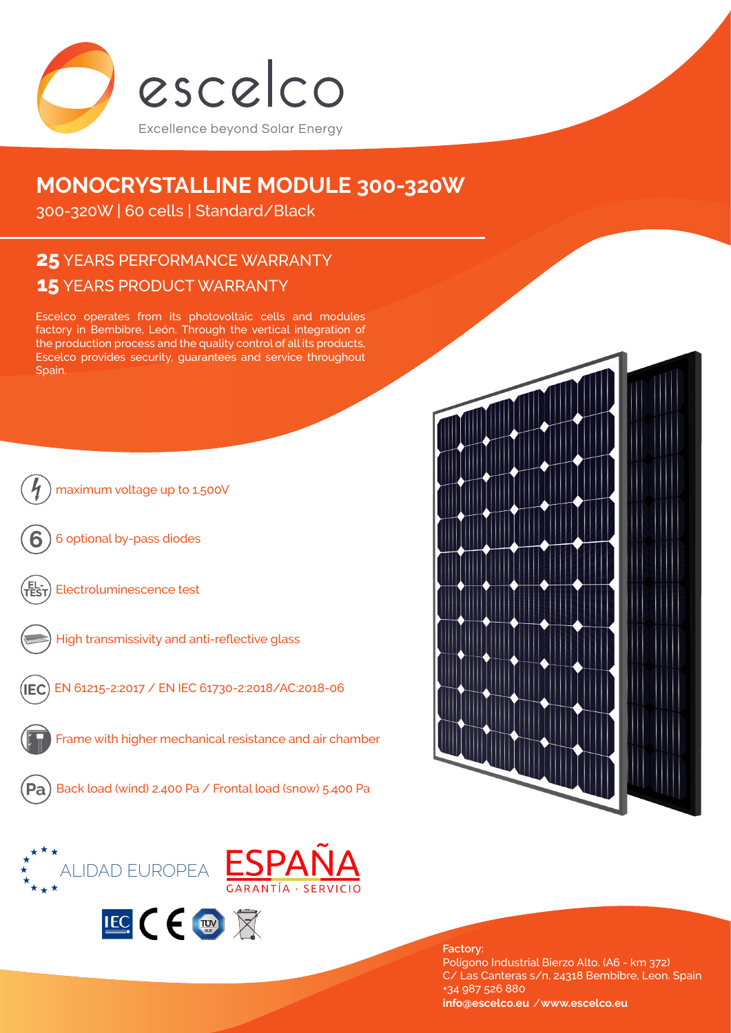

# **MONOCRYSTALLINE MODULE 300-320W**

300-320W | 60 cells | Standard/Black

## **15** YEARS PRODUCT WARRANTY **25** YEARS PERFORMANCE WARRANTY

Escelco operates from its photovoltaic cells and modules factory in Bembibre, León. Through the vertical integration of the production process and the quality control of all its products, Escelco provides security, guarantees and service throughout Spain.





**Factory:** Polígono Industrial Bierzo Alto. (A6 - km 372) C/ Las Canteras s/n, 24318 Bembibre, Leon. Spain +34 987 526 880 **info@escelco.eu** /**www.escelco.eu**